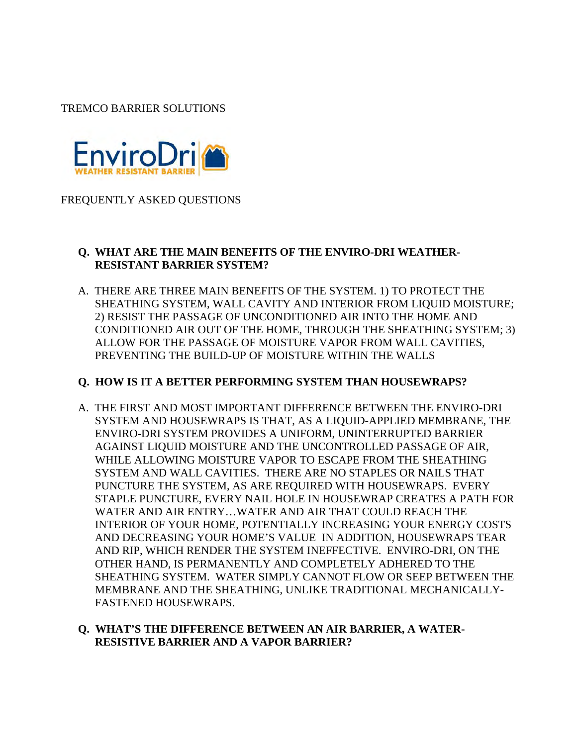TREMCO BARRIER SOLUTIONS



FREQUENTLY ASKED QUESTIONS

## **Q. WHAT ARE THE MAIN BENEFITS OF THE ENVIRO-DRI WEATHER-RESISTANT BARRIER SYSTEM?**

A. THERE ARE THREE MAIN BENEFITS OF THE SYSTEM. 1) TO PROTECT THE SHEATHING SYSTEM, WALL CAVITY AND INTERIOR FROM LIQUID MOISTURE; 2) RESIST THE PASSAGE OF UNCONDITIONED AIR INTO THE HOME AND CONDITIONED AIR OUT OF THE HOME, THROUGH THE SHEATHING SYSTEM; 3) ALLOW FOR THE PASSAGE OF MOISTURE VAPOR FROM WALL CAVITIES, PREVENTING THE BUILD-UP OF MOISTURE WITHIN THE WALLS

# **Q. HOW IS IT A BETTER PERFORMING SYSTEM THAN HOUSEWRAPS?**

A. THE FIRST AND MOST IMPORTANT DIFFERENCE BETWEEN THE ENVIRO-DRI SYSTEM AND HOUSEWRAPS IS THAT, AS A LIQUID-APPLIED MEMBRANE, THE ENVIRO-DRI SYSTEM PROVIDES A UNIFORM, UNINTERRUPTED BARRIER AGAINST LIQUID MOISTURE AND THE UNCONTROLLED PASSAGE OF AIR, WHILE ALLOWING MOISTURE VAPOR TO ESCAPE FROM THE SHEATHING SYSTEM AND WALL CAVITIES. THERE ARE NO STAPLES OR NAILS THAT PUNCTURE THE SYSTEM, AS ARE REQUIRED WITH HOUSEWRAPS. EVERY STAPLE PUNCTURE, EVERY NAIL HOLE IN HOUSEWRAP CREATES A PATH FOR WATER AND AIR ENTRY…WATER AND AIR THAT COULD REACH THE INTERIOR OF YOUR HOME, POTENTIALLY INCREASING YOUR ENERGY COSTS AND DECREASING YOUR HOME'S VALUE IN ADDITION, HOUSEWRAPS TEAR AND RIP, WHICH RENDER THE SYSTEM INEFFECTIVE. ENVIRO-DRI, ON THE OTHER HAND, IS PERMANENTLY AND COMPLETELY ADHERED TO THE SHEATHING SYSTEM. WATER SIMPLY CANNOT FLOW OR SEEP BETWEEN THE MEMBRANE AND THE SHEATHING, UNLIKE TRADITIONAL MECHANICALLY-FASTENED HOUSEWRAPS.

#### **Q. WHAT'S THE DIFFERENCE BETWEEN AN AIR BARRIER, A WATER-RESISTIVE BARRIER AND A VAPOR BARRIER?**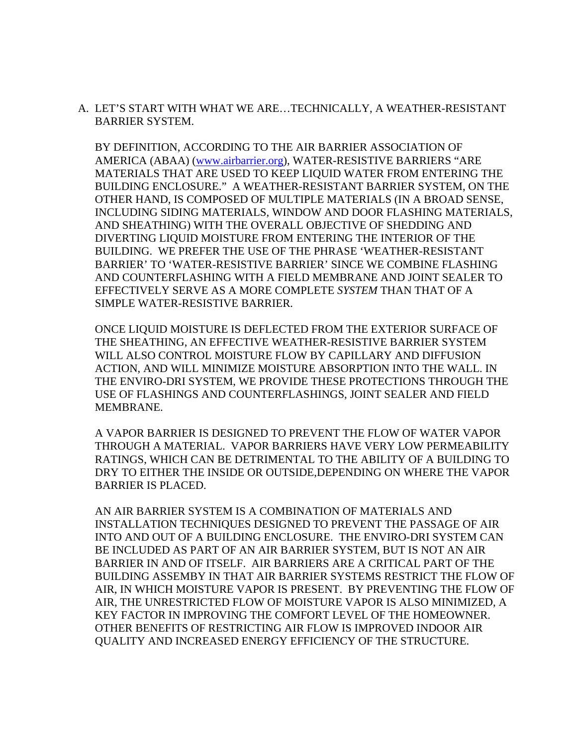### A. LET'S START WITH WHAT WE ARE…TECHNICALLY, A WEATHER-RESISTANT BARRIER SYSTEM.

BY DEFINITION, ACCORDING TO THE AIR BARRIER ASSOCIATION OF AMERICA (ABAA) (www.airbarrier.org), WATER-RESISTIVE BARRIERS "ARE MATERIALS THAT ARE USED TO KEEP LIQUID WATER FROM ENTERING THE BUILDING ENCLOSURE." A WEATHER-RESISTANT BARRIER SYSTEM, ON THE OTHER HAND, IS COMPOSED OF MULTIPLE MATERIALS (IN A BROAD SENSE, INCLUDING SIDING MATERIALS, WINDOW AND DOOR FLASHING MATERIALS, AND SHEATHING) WITH THE OVERALL OBJECTIVE OF SHEDDING AND DIVERTING LIQUID MOISTURE FROM ENTERING THE INTERIOR OF THE BUILDING. WE PREFER THE USE OF THE PHRASE 'WEATHER-RESISTANT BARRIER' TO 'WATER-RESISTIVE BARRIER' SINCE WE COMBINE FLASHING AND COUNTERFLASHING WITH A FIELD MEMBRANE AND JOINT SEALER TO EFFECTIVELY SERVE AS A MORE COMPLETE *SYSTEM* THAN THAT OF A SIMPLE WATER-RESISTIVE BARRIER.

ONCE LIQUID MOISTURE IS DEFLECTED FROM THE EXTERIOR SURFACE OF THE SHEATHING, AN EFFECTIVE WEATHER-RESISTIVE BARRIER SYSTEM WILL ALSO CONTROL MOISTURE FLOW BY CAPILLARY AND DIFFUSION ACTION, AND WILL MINIMIZE MOISTURE ABSORPTION INTO THE WALL. IN THE ENVIRO-DRI SYSTEM, WE PROVIDE THESE PROTECTIONS THROUGH THE USE OF FLASHINGS AND COUNTERFLASHINGS, JOINT SEALER AND FIELD MEMBRANE.

A VAPOR BARRIER IS DESIGNED TO PREVENT THE FLOW OF WATER VAPOR THROUGH A MATERIAL. VAPOR BARRIERS HAVE VERY LOW PERMEABILITY RATINGS, WHICH CAN BE DETRIMENTAL TO THE ABILITY OF A BUILDING TO DRY TO EITHER THE INSIDE OR OUTSIDE,DEPENDING ON WHERE THE VAPOR BARRIER IS PLACED.

AN AIR BARRIER SYSTEM IS A COMBINATION OF MATERIALS AND INSTALLATION TECHNIQUES DESIGNED TO PREVENT THE PASSAGE OF AIR INTO AND OUT OF A BUILDING ENCLOSURE. THE ENVIRO-DRI SYSTEM CAN BE INCLUDED AS PART OF AN AIR BARRIER SYSTEM, BUT IS NOT AN AIR BARRIER IN AND OF ITSELF. AIR BARRIERS ARE A CRITICAL PART OF THE BUILDING ASSEMBY IN THAT AIR BARRIER SYSTEMS RESTRICT THE FLOW OF AIR, IN WHICH MOISTURE VAPOR IS PRESENT. BY PREVENTING THE FLOW OF AIR, THE UNRESTRICTED FLOW OF MOISTURE VAPOR IS ALSO MINIMIZED, A KEY FACTOR IN IMPROVING THE COMFORT LEVEL OF THE HOMEOWNER. OTHER BENEFITS OF RESTRICTING AIR FLOW IS IMPROVED INDOOR AIR QUALITY AND INCREASED ENERGY EFFICIENCY OF THE STRUCTURE.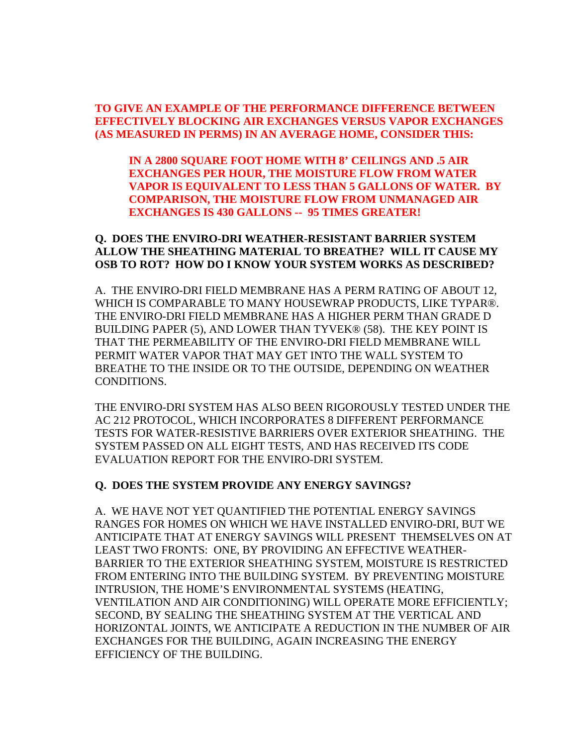## **TO GIVE AN EXAMPLE OF THE PERFORMANCE DIFFERENCE BETWEEN EFFECTIVELY BLOCKING AIR EXCHANGES VERSUS VAPOR EXCHANGES (AS MEASURED IN PERMS) IN AN AVERAGE HOME, CONSIDER THIS:**

**IN A 2800 SQUARE FOOT HOME WITH 8' CEILINGS AND .5 AIR EXCHANGES PER HOUR, THE MOISTURE FLOW FROM WATER VAPOR IS EQUIVALENT TO LESS THAN 5 GALLONS OF WATER. BY COMPARISON, THE MOISTURE FLOW FROM UNMANAGED AIR EXCHANGES IS 430 GALLONS -- 95 TIMES GREATER!** 

## **Q. DOES THE ENVIRO-DRI WEATHER-RESISTANT BARRIER SYSTEM ALLOW THE SHEATHING MATERIAL TO BREATHE? WILL IT CAUSE MY OSB TO ROT? HOW DO I KNOW YOUR SYSTEM WORKS AS DESCRIBED?**

A. THE ENVIRO-DRI FIELD MEMBRANE HAS A PERM RATING OF ABOUT 12, WHICH IS COMPARABLE TO MANY HOUSEWRAP PRODUCTS, LIKE TYPAR®. THE ENVIRO-DRI FIELD MEMBRANE HAS A HIGHER PERM THAN GRADE D BUILDING PAPER (5), AND LOWER THAN TYVEK® (58). THE KEY POINT IS THAT THE PERMEABILITY OF THE ENVIRO-DRI FIELD MEMBRANE WILL PERMIT WATER VAPOR THAT MAY GET INTO THE WALL SYSTEM TO BREATHE TO THE INSIDE OR TO THE OUTSIDE, DEPENDING ON WEATHER CONDITIONS.

THE ENVIRO-DRI SYSTEM HAS ALSO BEEN RIGOROUSLY TESTED UNDER THE AC 212 PROTOCOL, WHICH INCORPORATES 8 DIFFERENT PERFORMANCE TESTS FOR WATER-RESISTIVE BARRIERS OVER EXTERIOR SHEATHING. THE SYSTEM PASSED ON ALL EIGHT TESTS, AND HAS RECEIVED ITS CODE EVALUATION REPORT FOR THE ENVIRO-DRI SYSTEM.

#### **Q. DOES THE SYSTEM PROVIDE ANY ENERGY SAVINGS?**

A. WE HAVE NOT YET QUANTIFIED THE POTENTIAL ENERGY SAVINGS RANGES FOR HOMES ON WHICH WE HAVE INSTALLED ENVIRO-DRI, BUT WE ANTICIPATE THAT AT ENERGY SAVINGS WILL PRESENT THEMSELVES ON AT LEAST TWO FRONTS: ONE, BY PROVIDING AN EFFECTIVE WEATHER-BARRIER TO THE EXTERIOR SHEATHING SYSTEM, MOISTURE IS RESTRICTED FROM ENTERING INTO THE BUILDING SYSTEM. BY PREVENTING MOISTURE INTRUSION, THE HOME'S ENVIRONMENTAL SYSTEMS (HEATING, VENTILATION AND AIR CONDITIONING) WILL OPERATE MORE EFFICIENTLY; SECOND, BY SEALING THE SHEATHING SYSTEM AT THE VERTICAL AND HORIZONTAL JOINTS, WE ANTICIPATE A REDUCTION IN THE NUMBER OF AIR EXCHANGES FOR THE BUILDING, AGAIN INCREASING THE ENERGY EFFICIENCY OF THE BUILDING.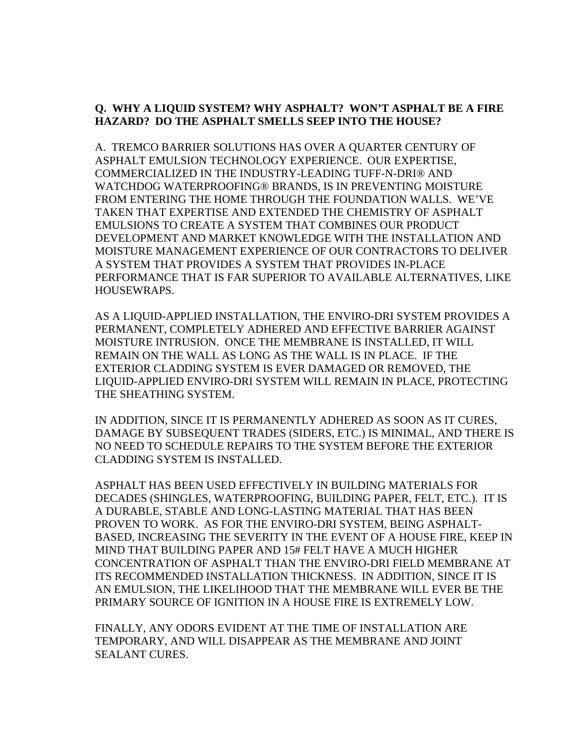### **Q. WHY A LIQUID SYSTEM? WHY ASPHALT? WON'T ASPHALT BE A FIRE HAZARD? DO THE ASPHALT SMELLS SEEP INTO THE HOUSE?**

A. TREMCO BARRIER SOLUTIONS HAS OVER A QUARTER CENTURY OF ASPHALT EMULSION TECHNOLOGY EXPERIENCE. OUR EXPERTISE, COMMERCIALIZED IN THE INDUSTRY-LEADING TUFF-N-DRI® AND WATCHDOG WATERPROOFING® BRANDS, IS IN PREVENTING MOISTURE FROM ENTERING THE HOME THROUGH THE FOUNDATION WALLS. WE'VE TAKEN THAT EXPERTISE AND EXTENDED THE CHEMISTRY OF ASPHALT EMULSIONS TO CREATE A SYSTEM THAT COMBINES OUR PRODUCT DEVELOPMENT AND MARKET KNOWLEDGE WITH THE INSTALLATION AND MOISTURE MANAGEMENT EXPERIENCE OF OUR CONTRACTORS TO DELIVER A SYSTEM THAT PROVIDES A SYSTEM THAT PROVIDES IN-PLACE PERFORMANCE THAT IS FAR SUPERIOR TO AVAILABLE ALTERNATIVES, LIKE HOUSEWRAPS.

AS A LIQUID-APPLIED INSTALLATION, THE ENVIRO-DRI SYSTEM PROVIDES A PERMANENT, COMPLETELY ADHERED AND EFFECTIVE BARRIER AGAINST MOISTURE INTRUSION. ONCE THE MEMBRANE IS INSTALLED, IT WILL REMAIN ON THE WALL AS LONG AS THE WALL IS IN PLACE. IF THE EXTERIOR CLADDING SYSTEM IS EVER DAMAGED OR REMOVED, THE LIQUID-APPLIED ENVIRO-DRI SYSTEM WILL REMAIN IN PLACE, PROTECTING THE SHEATHING SYSTEM.

IN ADDITION, SINCE IT IS PERMANENTLY ADHERED AS SOON AS IT CURES, DAMAGE BY SUBSEQUENT TRADES (SIDERS, ETC.) IS MINIMAL, AND THERE IS NO NEED TO SCHEDULE REPAIRS TO THE SYSTEM BEFORE THE EXTERIOR CLADDING SYSTEM IS INSTALLED.

ASPHALT HAS BEEN USED EFFECTIVELY IN BUILDING MATERIALS FOR DECADES (SHINGLES, WATERPROOFING, BUILDING PAPER, FELT, ETC.). IT IS A DURABLE, STABLE AND LONG-LASTING MATERIAL THAT HAS BEEN PROVEN TO WORK. AS FOR THE ENVIRO-DRI SYSTEM, BEING ASPHALT-BASED, INCREASING THE SEVERITY IN THE EVENT OF A HOUSE FIRE, KEEP IN MIND THAT BUILDING PAPER AND 15# FELT HAVE A MUCH HIGHER CONCENTRATION OF ASPHALT THAN THE ENVIRO-DRI FIELD MEMBRANE AT ITS RECOMMENDED INSTALLATION THICKNESS. IN ADDITION, SINCE IT IS AN EMULSION, THE LIKELIHOOD THAT THE MEMBRANE WILL EVER BE THE PRIMARY SOURCE OF IGNITION IN A HOUSE FIRE IS EXTREMELY LOW.

FINALLY, ANY ODORS EVIDENT AT THE TIME OF INSTALLATION ARE TEMPORARY, AND WILL DISAPPEAR AS THE MEMBRANE AND JOINT SEALANT CURES.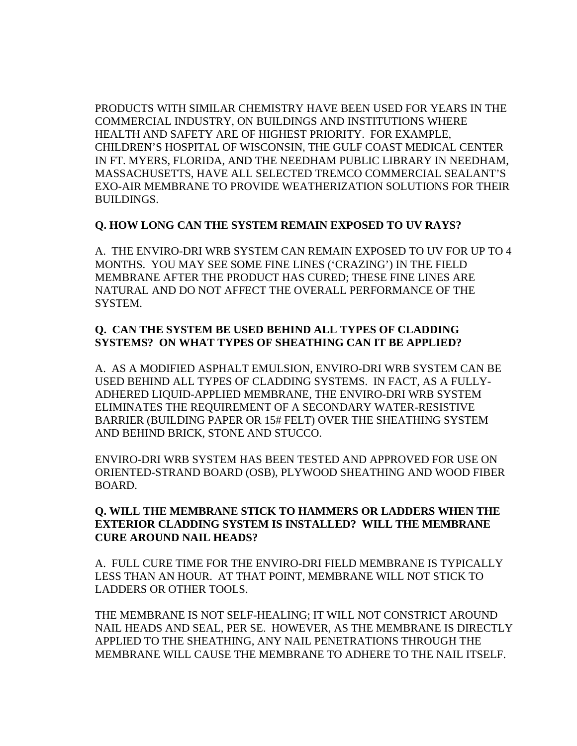PRODUCTS WITH SIMILAR CHEMISTRY HAVE BEEN USED FOR YEARS IN THE COMMERCIAL INDUSTRY, ON BUILDINGS AND INSTITUTIONS WHERE HEALTH AND SAFETY ARE OF HIGHEST PRIORITY. FOR EXAMPLE, CHILDREN'S HOSPITAL OF WISCONSIN, THE GULF COAST MEDICAL CENTER IN FT. MYERS, FLORIDA, AND THE NEEDHAM PUBLIC LIBRARY IN NEEDHAM, MASSACHUSETTS, HAVE ALL SELECTED TREMCO COMMERCIAL SEALANT'S EXO-AIR MEMBRANE TO PROVIDE WEATHERIZATION SOLUTIONS FOR THEIR BUILDINGS.

#### **Q. HOW LONG CAN THE SYSTEM REMAIN EXPOSED TO UV RAYS?**

A. THE ENVIRO-DRI WRB SYSTEM CAN REMAIN EXPOSED TO UV FOR UP TO 4 MONTHS. YOU MAY SEE SOME FINE LINES ('CRAZING') IN THE FIELD MEMBRANE AFTER THE PRODUCT HAS CURED; THESE FINE LINES ARE NATURAL AND DO NOT AFFECT THE OVERALL PERFORMANCE OF THE SYSTEM.

### **Q. CAN THE SYSTEM BE USED BEHIND ALL TYPES OF CLADDING SYSTEMS? ON WHAT TYPES OF SHEATHING CAN IT BE APPLIED?**

A. AS A MODIFIED ASPHALT EMULSION, ENVIRO-DRI WRB SYSTEM CAN BE USED BEHIND ALL TYPES OF CLADDING SYSTEMS. IN FACT, AS A FULLY-ADHERED LIQUID-APPLIED MEMBRANE, THE ENVIRO-DRI WRB SYSTEM ELIMINATES THE REQUIREMENT OF A SECONDARY WATER-RESISTIVE BARRIER (BUILDING PAPER OR 15# FELT) OVER THE SHEATHING SYSTEM AND BEHIND BRICK, STONE AND STUCCO.

ENVIRO-DRI WRB SYSTEM HAS BEEN TESTED AND APPROVED FOR USE ON ORIENTED-STRAND BOARD (OSB), PLYWOOD SHEATHING AND WOOD FIBER BOARD.

### **Q. WILL THE MEMBRANE STICK TO HAMMERS OR LADDERS WHEN THE EXTERIOR CLADDING SYSTEM IS INSTALLED? WILL THE MEMBRANE CURE AROUND NAIL HEADS?**

A. FULL CURE TIME FOR THE ENVIRO-DRI FIELD MEMBRANE IS TYPICALLY LESS THAN AN HOUR. AT THAT POINT, MEMBRANE WILL NOT STICK TO LADDERS OR OTHER TOOLS.

THE MEMBRANE IS NOT SELF-HEALING; IT WILL NOT CONSTRICT AROUND NAIL HEADS AND SEAL, PER SE. HOWEVER, AS THE MEMBRANE IS DIRECTLY APPLIED TO THE SHEATHING, ANY NAIL PENETRATIONS THROUGH THE MEMBRANE WILL CAUSE THE MEMBRANE TO ADHERE TO THE NAIL ITSELF.